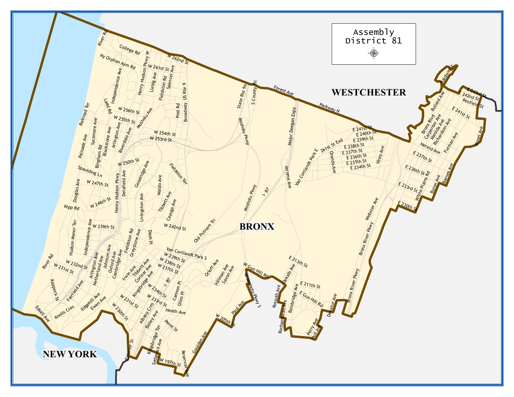